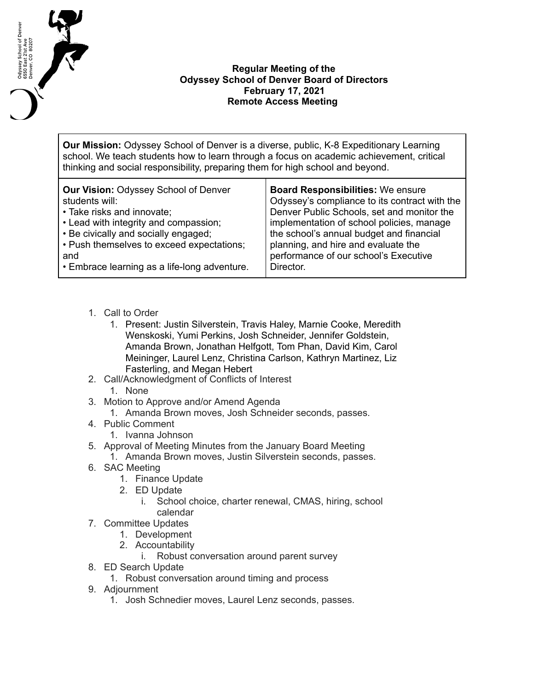

## **Regular Meeting of the Odyssey School of Denver Board of Directors February 17, 2021 Remote Access Meeting**

**Our Mission:** Odyssey School of Denver is a diverse, public, K-8 Expeditionary Learning school. We teach students how to learn through a focus on academic achievement, critical thinking and social responsibility, preparing them for high school and beyond.

| <b>Our Vision: Odyssey School of Denver</b>  | <b>Board Responsibilities: We ensure</b>      |
|----------------------------------------------|-----------------------------------------------|
| students will:                               | Odyssey's compliance to its contract with the |
| • Take risks and innovate;                   | Denver Public Schools, set and monitor the    |
| • Lead with integrity and compassion;        | implementation of school policies, manage     |
| • Be civically and socially engaged;         | the school's annual budget and financial      |
| • Push themselves to exceed expectations;    | planning, and hire and evaluate the           |
| and                                          | performance of our school's Executive         |
| • Embrace learning as a life-long adventure. | Director.                                     |

- 1. Call to Order
	- 1. Present: Justin Silverstein, Travis Haley, Marnie Cooke, Meredith Wenskoski, Yumi Perkins, Josh Schneider, Jennifer Goldstein, Amanda Brown, Jonathan Helfgott, Tom Phan, David Kim, Carol Meininger, Laurel Lenz, Christina Carlson, Kathryn Martinez, Liz Fasterling, and Megan Hebert
- 2. Call/Acknowledgment of Conflicts of Interest
	- 1. None
- 3. Motion to Approve and/or Amend Agenda
	- 1. Amanda Brown moves, Josh Schneider seconds, passes.
- 4. Public Comment
	- 1. Ivanna Johnson
- 5. Approval of Meeting Minutes from the January Board Meeting
	- 1. Amanda Brown moves, Justin Silverstein seconds, passes.
- 6. SAC Meeting
	- 1. Finance Update
	- 2. ED Update
		- i. School choice, charter renewal, CMAS, hiring, school calendar
- 7. Committee Updates
	- 1. Development
	- 2. Accountability
		- i. Robust conversation around parent survey
- 8. ED Search Update
	- 1. Robust conversation around timing and process
- 9. Adjournment
	- 1. Josh Schnedier moves, Laurel Lenz seconds, passes.